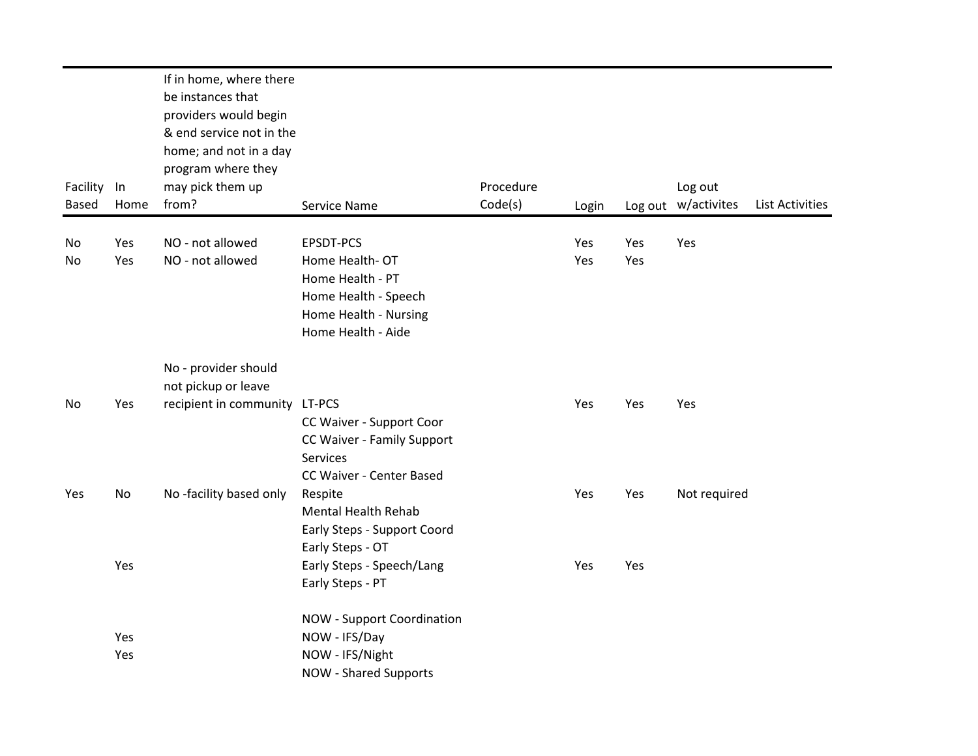| Facility<br><b>Based</b> | In<br>Home | If in home, where there<br>be instances that<br>providers would begin<br>& end service not in the<br>home; and not in a day<br>program where they<br>may pick them up<br>from? | Service Name                                                                                                           | Procedure<br>Code(s) | Login      |            | Log out<br>Log out w/activites | <b>List Activities</b> |
|--------------------------|------------|--------------------------------------------------------------------------------------------------------------------------------------------------------------------------------|------------------------------------------------------------------------------------------------------------------------|----------------------|------------|------------|--------------------------------|------------------------|
| No<br>No                 | Yes<br>Yes | NO - not allowed<br>NO - not allowed                                                                                                                                           | EPSDT-PCS<br>Home Health-OT<br>Home Health - PT<br>Home Health - Speech<br>Home Health - Nursing<br>Home Health - Aide |                      | Yes<br>Yes | Yes<br>Yes | Yes                            |                        |
|                          |            | No - provider should<br>not pickup or leave                                                                                                                                    |                                                                                                                        |                      |            |            |                                |                        |
| No                       | Yes        | recipient in community LT-PCS                                                                                                                                                  | CC Waiver - Support Coor<br>CC Waiver - Family Support<br>Services<br>CC Waiver - Center Based                         |                      | Yes        | Yes        | Yes                            |                        |
| Yes                      | No         | No-facility based only                                                                                                                                                         | Respite<br><b>Mental Health Rehab</b><br>Early Steps - Support Coord<br>Early Steps - OT                               |                      | Yes        | Yes        | Not required                   |                        |
|                          | Yes        |                                                                                                                                                                                | Early Steps - Speech/Lang<br>Early Steps - PT                                                                          |                      | Yes        | Yes        |                                |                        |
|                          | Yes<br>Yes |                                                                                                                                                                                | <b>NOW - Support Coordination</b><br>NOW - IFS/Day<br>NOW - IFS/Night<br><b>NOW - Shared Supports</b>                  |                      |            |            |                                |                        |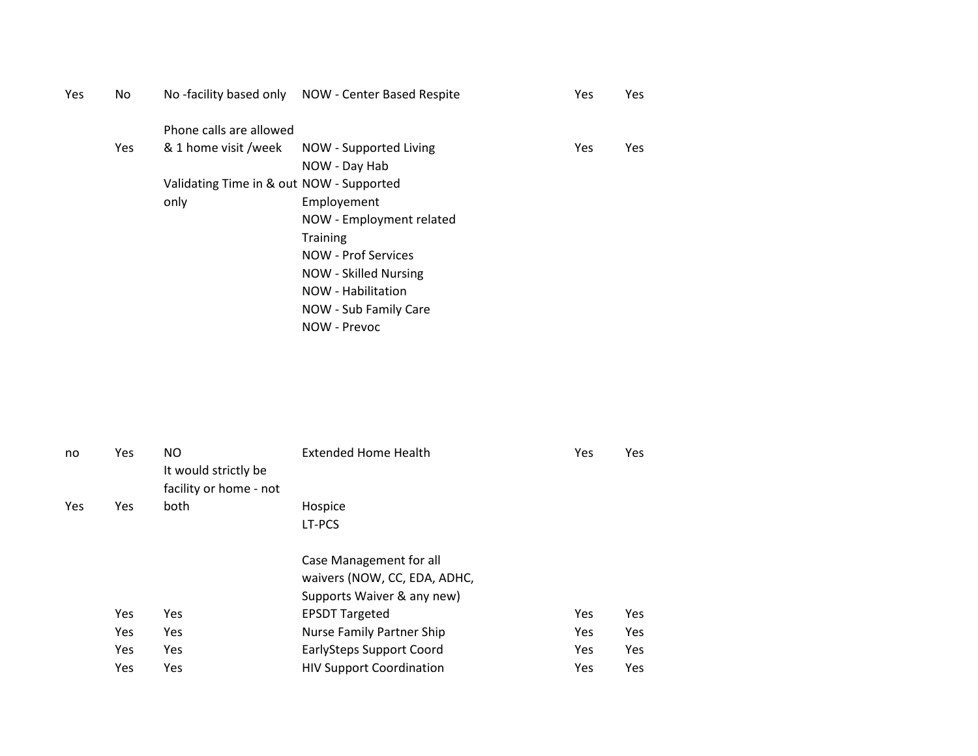| Yes | No         |                                          | No-facility based only NOW - Center Based Respite | Yes | Yes |
|-----|------------|------------------------------------------|---------------------------------------------------|-----|-----|
|     |            | Phone calls are allowed                  |                                                   |     |     |
|     | <b>Yes</b> | & 1 home visit /week                     | NOW - Supported Living                            | Yes | Yes |
|     |            |                                          | NOW - Day Hab                                     |     |     |
|     |            | Validating Time in & out NOW - Supported |                                                   |     |     |
|     |            | only                                     | Employement                                       |     |     |
|     |            |                                          | NOW - Employment related                          |     |     |
|     |            |                                          | <b>Training</b>                                   |     |     |
|     |            |                                          | NOW - Prof Services                               |     |     |
|     |            |                                          | <b>NOW - Skilled Nursing</b>                      |     |     |
|     |            |                                          | NOW - Habilitation                                |     |     |
|     |            |                                          | NOW - Sub Family Care                             |     |     |
|     |            |                                          | NOW - Prevoc                                      |     |     |

| no  | Yes | NO.<br>It would strictly be | <b>Extended Home Health</b>     | Yes        | Yes |
|-----|-----|-----------------------------|---------------------------------|------------|-----|
|     |     | facility or home - not      |                                 |            |     |
| Yes | Yes | both                        | Hospice                         |            |     |
|     |     |                             | LT-PCS                          |            |     |
|     |     |                             | Case Management for all         |            |     |
|     |     |                             | waivers (NOW, CC, EDA, ADHC,    |            |     |
|     |     |                             | Supports Waiver & any new)      |            |     |
|     | Yes | Yes                         | <b>EPSDT Targeted</b>           | <b>Yes</b> | Yes |
|     | Yes | Yes                         | Nurse Family Partner Ship       | Yes        | Yes |
|     | Yes | Yes                         | EarlySteps Support Coord        | <b>Yes</b> | Yes |
|     | Yes | Yes                         | <b>HIV Support Coordination</b> | Yes        | Yes |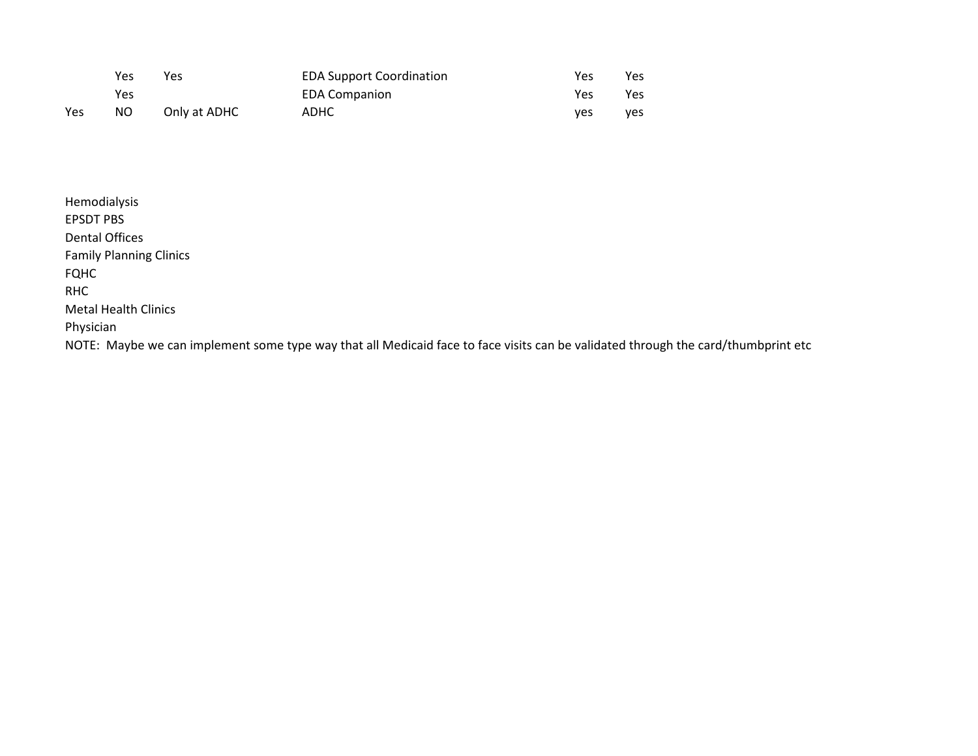|     | Yes | Yes          | <b>EDA Support Coordination</b> | Yes | Yes        |
|-----|-----|--------------|---------------------------------|-----|------------|
|     | Yes |              | <b>EDA Companion</b>            | Yes | Yes        |
| Yes | NO. | Only at ADHC | <b>ADHC</b>                     | ves | <b>ves</b> |

| Hemodialysis                                                                                                                      |
|-----------------------------------------------------------------------------------------------------------------------------------|
| <b>EPSDT PBS</b>                                                                                                                  |
| Dental Offices                                                                                                                    |
| <b>Family Planning Clinics</b>                                                                                                    |
| <b>FQHC</b>                                                                                                                       |
| <b>RHC</b>                                                                                                                        |
| <b>Metal Health Clinics</b>                                                                                                       |
| Physician                                                                                                                         |
| NOTE: Maybe we can implement some type way that all Medicaid face to face visits can be validated through the card/thumbprint etc |
|                                                                                                                                   |